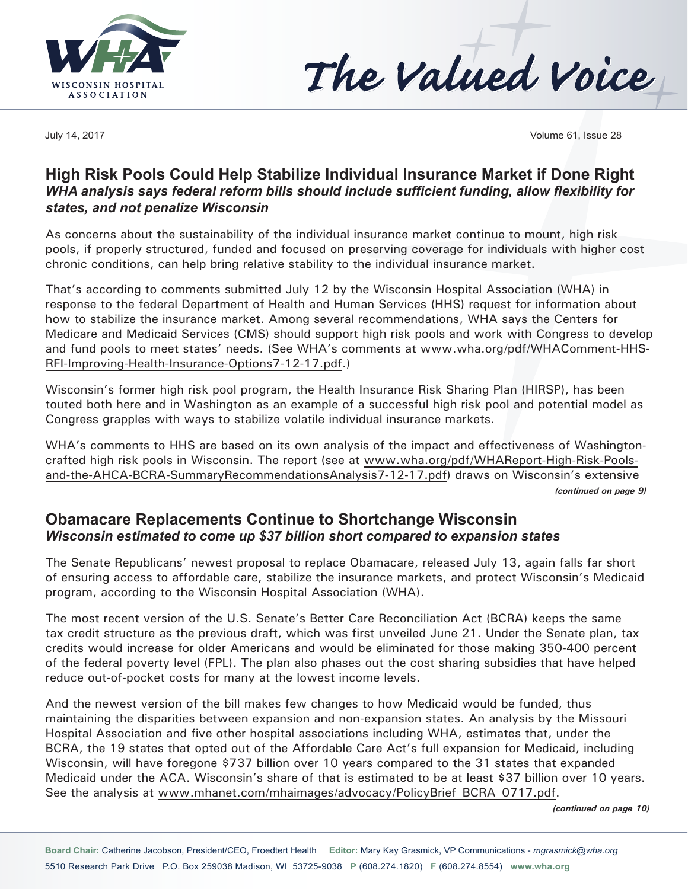



July 14, 2017 Volume 61, Issue 28

### **High Risk Pools Could Help Stabilize Individual Insurance Market if Done Right**  *WHA analysis says federal reform bills should include sufficient funding, allow flexibility for states, and not penalize Wisconsin*

As concerns about the sustainability of the individual insurance market continue to mount, high risk pools, if properly structured, funded and focused on preserving coverage for individuals with higher cost chronic conditions, can help bring relative stability to the individual insurance market.

That's according to comments submitted July 12 by the Wisconsin Hospital Association (WHA) in response to the federal Department of Health and Human Services (HHS) request for information about how to stabilize the insurance market. Among several recommendations, WHA says the Centers for Medicare and Medicaid Services (CMS) should support high risk pools and work with Congress to develop and fund pools to meet states' needs. (See WHA's comments at www.wha.org/pdf/WHAComment-HHS-RFI-Improving-Health-Insurance-Options7-12-17.pdf.)

Wisconsin's former high risk pool program, the Health Insurance Risk Sharing Plan (HIRSP), has been touted both here and in Washington as an example of a successful high risk pool and potential model as Congress grapples with ways to stabilize volatile individual insurance markets.

WHA's comments to HHS are based on its own analysis of the impact and effectiveness of Washingtoncrafted high risk pools in Wisconsin. The report (see at www.wha.org/pdf/WHAReport-High-Risk-Poolsand-the-AHCA-BCRA-SummaryRecommendationsAnalysis7-12-17.pdf) draws on Wisconsin's extensive *(continued on page 9)*

### **Obamacare Replacements Continue to Shortchange Wisconsin**  *Wisconsin estimated to come up \$37 billion short compared to expansion states*

The Senate Republicans' newest proposal to replace Obamacare, released July 13, again falls far short of ensuring access to affordable care, stabilize the insurance markets, and protect Wisconsin's Medicaid program, according to the Wisconsin Hospital Association (WHA).

The most recent version of the U.S. Senate's Better Care Reconciliation Act (BCRA) keeps the same tax credit structure as the previous draft, which was first unveiled June 21. Under the Senate plan, tax credits would increase for older Americans and would be eliminated for those making 350-400 percent of the federal poverty level (FPL). The plan also phases out the cost sharing subsidies that have helped reduce out-of-pocket costs for many at the lowest income levels.

And the newest version of the bill makes few changes to how Medicaid would be funded, thus maintaining the disparities between expansion and non-expansion states. An analysis by the Missouri Hospital Association and five other hospital associations including WHA, estimates that, under the BCRA, the 19 states that opted out of the Affordable Care Act's full expansion for Medicaid, including Wisconsin, will have foregone \$737 billion over 10 years compared to the 31 states that expanded Medicaid under the ACA. Wisconsin's share of that is estimated to be at least \$37 billion over 10 years. See the analysis at www.mhanet.com/mhaimages/advocacy/PolicyBrief\_BCRA\_0717.pdf.

*(continued on page 10)*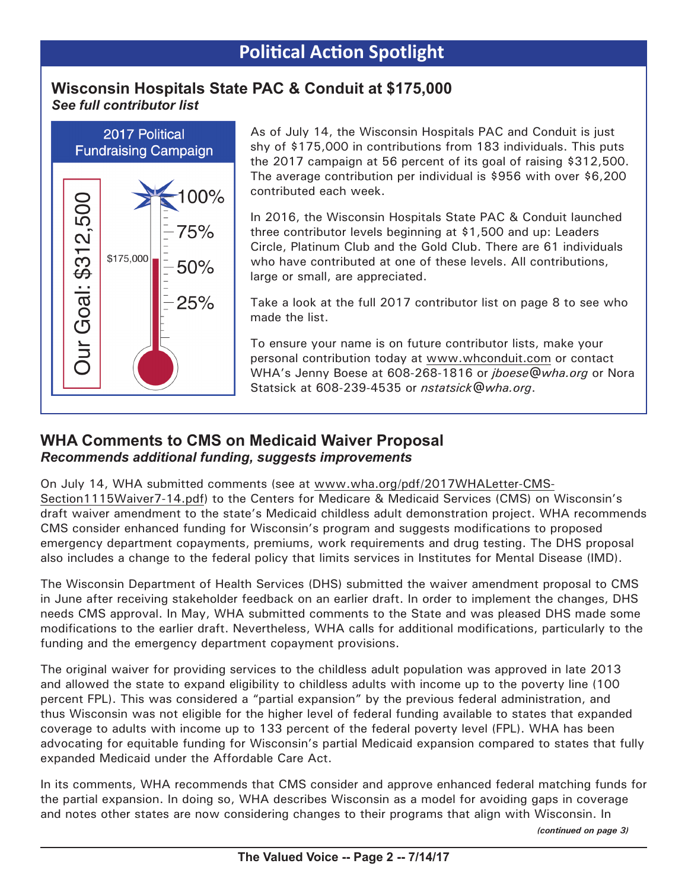## **Wisconsin Hospitals State PAC & Conduit at \$175,000** *See full contributor list*



As of July 14, the Wisconsin Hospitals PAC and Conduit is just shy of \$175,000 in contributions from 183 individuals. This puts the 2017 campaign at 56 percent of its goal of raising \$312,500. The average contribution per individual is \$956 with over \$6,200 contributed each week.

In 2016, the Wisconsin Hospitals State PAC & Conduit launched three contributor levels beginning at \$1,500 and up: Leaders Circle, Platinum Club and the Gold Club. There are 61 individuals who have contributed at one of these levels. All contributions, large or small, are appreciated.

Take a look at the full 2017 contributor list on page 8 to see who made the list.

To ensure your name is on future contributor lists, make your personal contribution today at www.whconduit.com or contact WHA's Jenny Boese at 608-268-1816 or *jboese@wha.org* or Nora Statsick at 608-239-4535 or *nstatsick@wha.org*.

# **WHA Comments to CMS on Medicaid Waiver Proposal**  *Recommends additional funding, suggests improvements*

On July 14, WHA submitted comments (see at www.wha.org/pdf/2017WHALetter-CMS-Section1115Waiver7-14.pdf) to the Centers for Medicare & Medicaid Services (CMS) on Wisconsin's draft waiver amendment to the state's Medicaid childless adult demonstration project. WHA recommends CMS consider enhanced funding for Wisconsin's program and suggests modifications to proposed emergency department copayments, premiums, work requirements and drug testing. The DHS proposal also includes a change to the federal policy that limits services in Institutes for Mental Disease (IMD).

The Wisconsin Department of Health Services (DHS) submitted the waiver amendment proposal to CMS in June after receiving stakeholder feedback on an earlier draft. In order to implement the changes, DHS needs CMS approval. In May, WHA submitted comments to the State and was pleased DHS made some modifications to the earlier draft. Nevertheless, WHA calls for additional modifications, particularly to the funding and the emergency department copayment provisions.

The original waiver for providing services to the childless adult population was approved in late 2013 and allowed the state to expand eligibility to childless adults with income up to the poverty line (100 percent FPL). This was considered a "partial expansion" by the previous federal administration, and thus Wisconsin was not eligible for the higher level of federal funding available to states that expanded coverage to adults with income up to 133 percent of the federal poverty level (FPL). WHA has been advocating for equitable funding for Wisconsin's partial Medicaid expansion compared to states that fully expanded Medicaid under the Affordable Care Act.

In its comments, WHA recommends that CMS consider and approve enhanced federal matching funds for the partial expansion. In doing so, WHA describes Wisconsin as a model for avoiding gaps in coverage and notes other states are now considering changes to their programs that align with Wisconsin. In

*(continued on page 3)*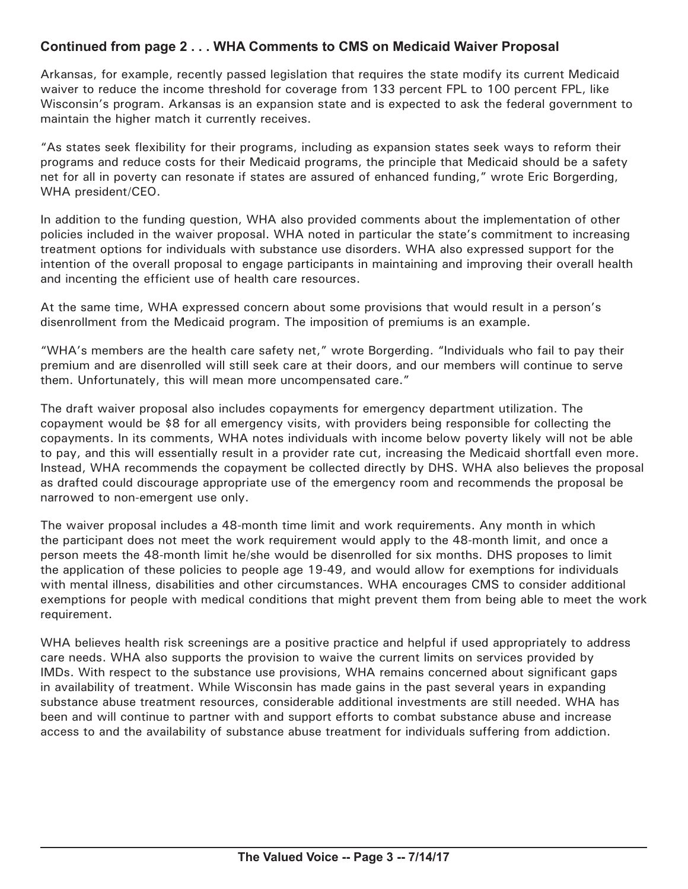### **Continued from page 2 . . . WHA Comments to CMS on Medicaid Waiver Proposal**

Arkansas, for example, recently passed legislation that requires the state modify its current Medicaid waiver to reduce the income threshold for coverage from 133 percent FPL to 100 percent FPL, like Wisconsin's program. Arkansas is an expansion state and is expected to ask the federal government to maintain the higher match it currently receives.

"As states seek flexibility for their programs, including as expansion states seek ways to reform their programs and reduce costs for their Medicaid programs, the principle that Medicaid should be a safety net for all in poverty can resonate if states are assured of enhanced funding," wrote Eric Borgerding, WHA president/CEO.

In addition to the funding question, WHA also provided comments about the implementation of other policies included in the waiver proposal. WHA noted in particular the state's commitment to increasing treatment options for individuals with substance use disorders. WHA also expressed support for the intention of the overall proposal to engage participants in maintaining and improving their overall health and incenting the efficient use of health care resources.

At the same time, WHA expressed concern about some provisions that would result in a person's disenrollment from the Medicaid program. The imposition of premiums is an example.

"WHA's members are the health care safety net," wrote Borgerding. "Individuals who fail to pay their premium and are disenrolled will still seek care at their doors, and our members will continue to serve them. Unfortunately, this will mean more uncompensated care."

The draft waiver proposal also includes copayments for emergency department utilization. The copayment would be \$8 for all emergency visits, with providers being responsible for collecting the copayments. In its comments, WHA notes individuals with income below poverty likely will not be able to pay, and this will essentially result in a provider rate cut, increasing the Medicaid shortfall even more. Instead, WHA recommends the copayment be collected directly by DHS. WHA also believes the proposal as drafted could discourage appropriate use of the emergency room and recommends the proposal be narrowed to non-emergent use only.

The waiver proposal includes a 48-month time limit and work requirements. Any month in which the participant does not meet the work requirement would apply to the 48-month limit, and once a person meets the 48-month limit he/she would be disenrolled for six months. DHS proposes to limit the application of these policies to people age 19-49, and would allow for exemptions for individuals with mental illness, disabilities and other circumstances. WHA encourages CMS to consider additional exemptions for people with medical conditions that might prevent them from being able to meet the work requirement.

WHA believes health risk screenings are a positive practice and helpful if used appropriately to address care needs. WHA also supports the provision to waive the current limits on services provided by IMDs. With respect to the substance use provisions, WHA remains concerned about significant gaps in availability of treatment. While Wisconsin has made gains in the past several years in expanding substance abuse treatment resources, considerable additional investments are still needed. WHA has been and will continue to partner with and support efforts to combat substance abuse and increase access to and the availability of substance abuse treatment for individuals suffering from addiction.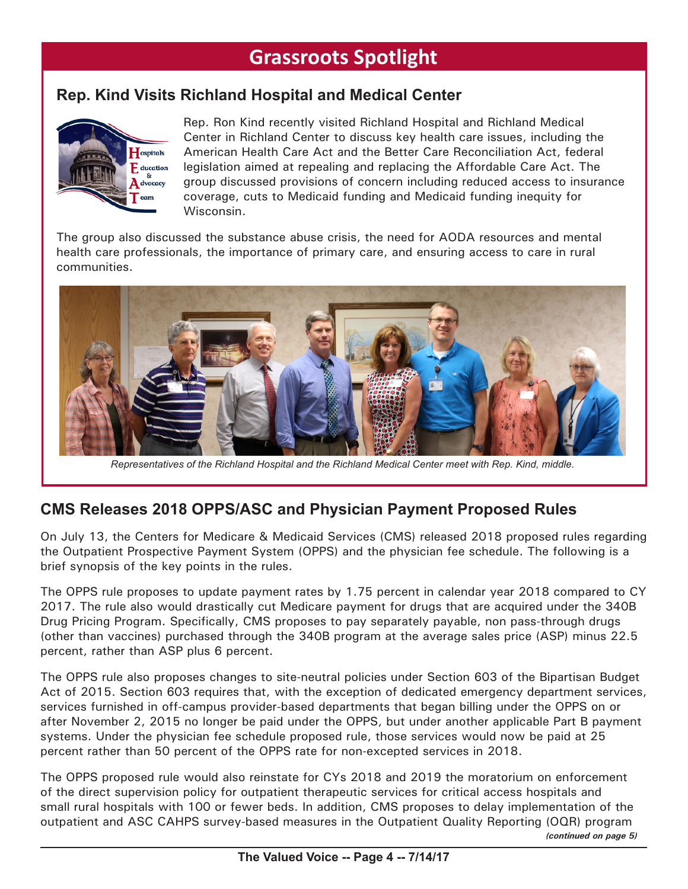# **Grassroots Spotlight**

# **Rep. Kind Visits Richland Hospital and Medical Center**



Rep. Ron Kind recently visited Richland Hospital and Richland Medical Center in Richland Center to discuss key health care issues, including the American Health Care Act and the Better Care Reconciliation Act, federal legislation aimed at repealing and replacing the Affordable Care Act. The group discussed provisions of concern including reduced access to insurance coverage, cuts to Medicaid funding and Medicaid funding inequity for Wisconsin.

The group also discussed the substance abuse crisis, the need for AODA resources and mental health care professionals, the importance of primary care, and ensuring access to care in rural communities.



*Representatives of the Richland Hospital and the Richland Medical Center meet with Rep. Kind, middle.*

# **CMS Releases 2018 OPPS/ASC and Physician Payment Proposed Rules**

On July 13, the Centers for Medicare & Medicaid Services (CMS) released 2018 proposed rules regarding the Outpatient Prospective Payment System (OPPS) and the physician fee schedule. The following is a brief synopsis of the key points in the rules.

The OPPS rule proposes to update payment rates by 1.75 percent in calendar year 2018 compared to CY 2017. The rule also would drastically cut Medicare payment for drugs that are acquired under the 340B Drug Pricing Program. Specifically, CMS proposes to pay separately payable, non pass-through drugs (other than vaccines) purchased through the 340B program at the average sales price (ASP) minus 22.5 percent, rather than ASP plus 6 percent.

The OPPS rule also proposes changes to site-neutral policies under Section 603 of the Bipartisan Budget Act of 2015. Section 603 requires that, with the exception of dedicated emergency department services, services furnished in off-campus provider-based departments that began billing under the OPPS on or after November 2, 2015 no longer be paid under the OPPS, but under another applicable Part B payment systems. Under the physician fee schedule proposed rule, those services would now be paid at 25 percent rather than 50 percent of the OPPS rate for non-excepted services in 2018.

The OPPS proposed rule would also reinstate for CYs 2018 and 2019 the moratorium on enforcement of the direct supervision policy for outpatient therapeutic services for critical access hospitals and small rural hospitals with 100 or fewer beds. In addition, CMS proposes to delay implementation of the outpatient and ASC CAHPS survey-based measures in the Outpatient Quality Reporting (OQR) program *(continued on page 5)*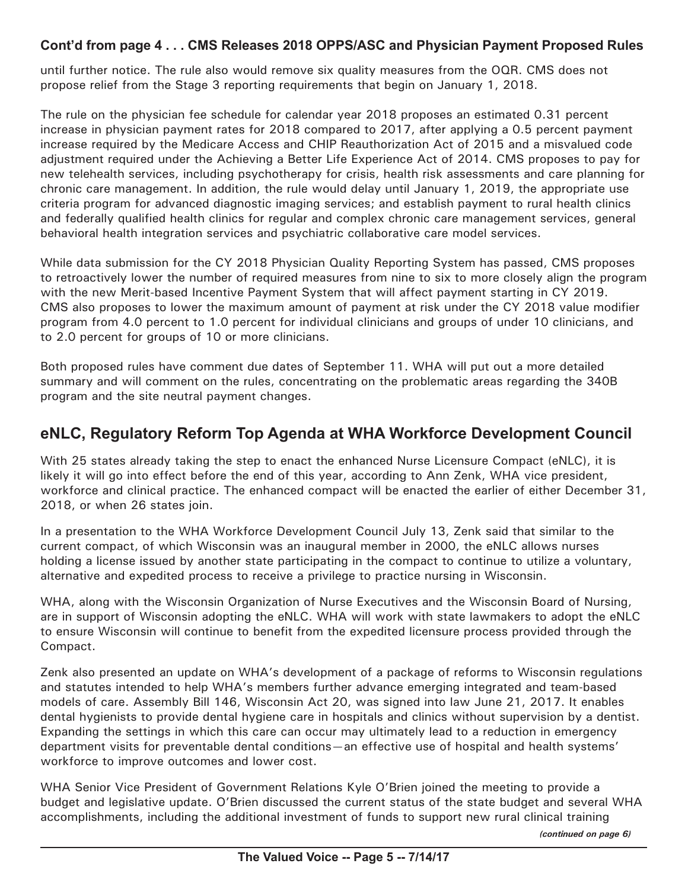#### **Cont'd from page 4 . . . CMS Releases 2018 OPPS/ASC and Physician Payment Proposed Rules**

until further notice. The rule also would remove six quality measures from the OQR. CMS does not propose relief from the Stage 3 reporting requirements that begin on January 1, 2018.

The rule on the physician fee schedule for calendar year 2018 proposes an estimated 0.31 percent increase in physician payment rates for 2018 compared to 2017, after applying a 0.5 percent payment increase required by the Medicare Access and CHIP Reauthorization Act of 2015 and a misvalued code adjustment required under the Achieving a Better Life Experience Act of 2014. CMS proposes to pay for new telehealth services, including psychotherapy for crisis, health risk assessments and care planning for chronic care management. In addition, the rule would delay until January 1, 2019, the appropriate use criteria program for advanced diagnostic imaging services; and establish payment to rural health clinics and federally qualified health clinics for regular and complex chronic care management services, general behavioral health integration services and psychiatric collaborative care model services.

While data submission for the CY 2018 Physician Quality Reporting System has passed, CMS proposes to retroactively lower the number of required measures from nine to six to more closely align the program with the new Merit-based Incentive Payment System that will affect payment starting in CY 2019. CMS also proposes to lower the maximum amount of payment at risk under the CY 2018 value modifier program from 4.0 percent to 1.0 percent for individual clinicians and groups of under 10 clinicians, and to 2.0 percent for groups of 10 or more clinicians.

Both proposed rules have comment due dates of September 11. WHA will put out a more detailed summary and will comment on the rules, concentrating on the problematic areas regarding the 340B program and the site neutral payment changes.

# **eNLC, Regulatory Reform Top Agenda at WHA Workforce Development Council**

With 25 states already taking the step to enact the enhanced Nurse Licensure Compact (eNLC), it is likely it will go into effect before the end of this year, according to Ann Zenk, WHA vice president, workforce and clinical practice. The enhanced compact will be enacted the earlier of either December 31, 2018, or when 26 states join.

In a presentation to the WHA Workforce Development Council July 13, Zenk said that similar to the current compact, of which Wisconsin was an inaugural member in 2000, the eNLC allows nurses holding a license issued by another state participating in the compact to continue to utilize a voluntary, alternative and expedited process to receive a privilege to practice nursing in Wisconsin.

WHA, along with the Wisconsin Organization of Nurse Executives and the Wisconsin Board of Nursing, are in support of Wisconsin adopting the eNLC. WHA will work with state lawmakers to adopt the eNLC to ensure Wisconsin will continue to benefit from the expedited licensure process provided through the Compact.

Zenk also presented an update on WHA's development of a package of reforms to Wisconsin regulations and statutes intended to help WHA's members further advance emerging integrated and team-based models of care. Assembly Bill 146, Wisconsin Act 20, was signed into law June 21, 2017. It enables dental hygienists to provide dental hygiene care in hospitals and clinics without supervision by a dentist. Expanding the settings in which this care can occur may ultimately lead to a reduction in emergency department visits for preventable dental conditions—an effective use of hospital and health systems' workforce to improve outcomes and lower cost.

WHA Senior Vice President of Government Relations Kyle O'Brien joined the meeting to provide a budget and legislative update. O'Brien discussed the current status of the state budget and several WHA accomplishments, including the additional investment of funds to support new rural clinical training

*(continued on page 6)*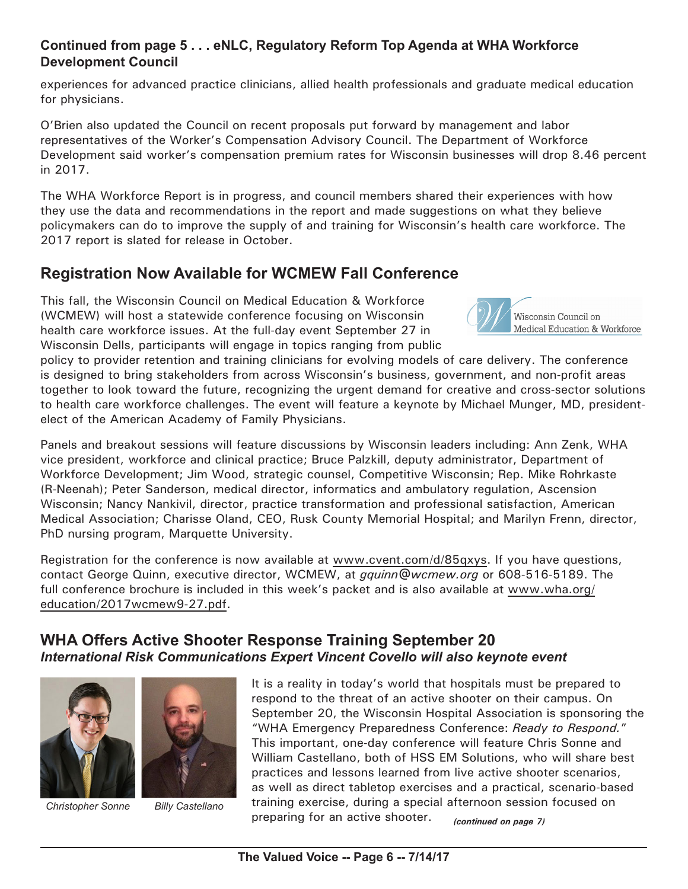#### **Continued from page 5 . . . eNLC, Regulatory Reform Top Agenda at WHA Workforce Development Council**

experiences for advanced practice clinicians, allied health professionals and graduate medical education for physicians.

O'Brien also updated the Council on recent proposals put forward by management and labor representatives of the Worker's Compensation Advisory Council. The Department of Workforce Development said worker's compensation premium rates for Wisconsin businesses will drop 8.46 percent in 2017.

The WHA Workforce Report is in progress, and council members shared their experiences with how they use the data and recommendations in the report and made suggestions on what they believe policymakers can do to improve the supply of and training for Wisconsin's health care workforce. The 2017 report is slated for release in October.

# **Registration Now Available for WCMEW Fall Conference**

This fall, the Wisconsin Council on Medical Education & Workforce (WCMEW) will host a statewide conference focusing on Wisconsin health care workforce issues. At the full-day event September 27 in Wisconsin Dells, participants will engage in topics ranging from public



policy to provider retention and training clinicians for evolving models of care delivery. The conference is designed to bring stakeholders from across Wisconsin's business, government, and non-profit areas together to look toward the future, recognizing the urgent demand for creative and cross-sector solutions to health care workforce challenges. The event will feature a keynote by Michael Munger, MD, presidentelect of the American Academy of Family Physicians.

Panels and breakout sessions will feature discussions by Wisconsin leaders including: Ann Zenk, WHA vice president, workforce and clinical practice; Bruce Palzkill, deputy administrator, Department of Workforce Development; Jim Wood, strategic counsel, Competitive Wisconsin; Rep. Mike Rohrkaste (R-Neenah); Peter Sanderson, medical director, informatics and ambulatory regulation, Ascension Wisconsin; Nancy Nankivil, director, practice transformation and professional satisfaction, American Medical Association; Charisse Oland, CEO, Rusk County Memorial Hospital; and Marilyn Frenn, director, PhD nursing program, Marquette University.

Registration for the conference is now available at www.cvent.com/d/85qxys. If you have questions, contact George Quinn, executive director, WCMEW, at *gquinn@wcmew.org* or 608-516-5189. The full conference brochure is included in this week's packet and is also available at www.wha.org/ education/2017wcmew9-27.pdf.

# **WHA Offers Active Shooter Response Training September 20**  *International Risk Communications Expert Vincent Covello will also keynote event*



*Christopher Sonne Billy Castellano*

It is a reality in today's world that hospitals must be prepared to respond to the threat of an active shooter on their campus. On September 20, the Wisconsin Hospital Association is sponsoring the "WHA Emergency Preparedness Conference: *Ready to Respond.*" This important, one-day conference will feature Chris Sonne and William Castellano, both of HSS EM Solutions, who will share best practices and lessons learned from live active shooter scenarios, as well as direct tabletop exercises and a practical, scenario-based training exercise, during a special afternoon session focused on preparing for an active shooter. *(continued on page 7)*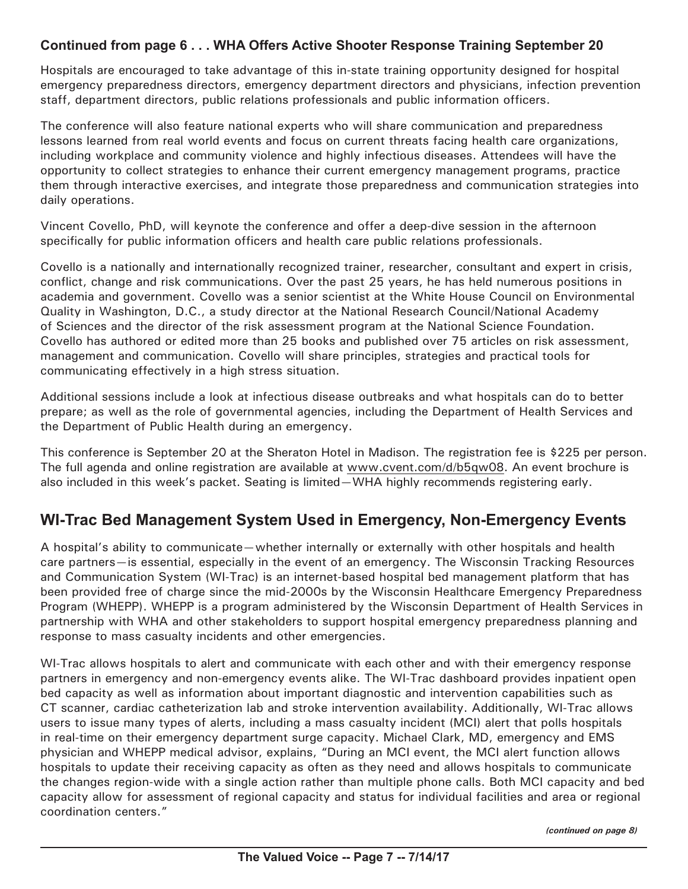### **Continued from page 6 . . . WHA Offers Active Shooter Response Training September 20**

Hospitals are encouraged to take advantage of this in-state training opportunity designed for hospital emergency preparedness directors, emergency department directors and physicians, infection prevention staff, department directors, public relations professionals and public information officers.

The conference will also feature national experts who will share communication and preparedness lessons learned from real world events and focus on current threats facing health care organizations, including workplace and community violence and highly infectious diseases. Attendees will have the opportunity to collect strategies to enhance their current emergency management programs, practice them through interactive exercises, and integrate those preparedness and communication strategies into daily operations.

Vincent Covello, PhD, will keynote the conference and offer a deep-dive session in the afternoon specifically for public information officers and health care public relations professionals.

Covello is a nationally and internationally recognized trainer, researcher, consultant and expert in crisis, conflict, change and risk communications. Over the past 25 years, he has held numerous positions in academia and government. Covello was a senior scientist at the White House Council on Environmental Quality in Washington, D.C., a study director at the National Research Council/National Academy of Sciences and the director of the risk assessment program at the National Science Foundation. Covello has authored or edited more than 25 books and published over 75 articles on risk assessment, management and communication. Covello will share principles, strategies and practical tools for communicating effectively in a high stress situation.

Additional sessions include a look at infectious disease outbreaks and what hospitals can do to better prepare; as well as the role of governmental agencies, including the Department of Health Services and the Department of Public Health during an emergency.

This conference is September 20 at the Sheraton Hotel in Madison. The registration fee is \$225 per person. The full agenda and online registration are available at www.cvent.com/d/b5qw08. An event brochure is also included in this week's packet. Seating is limited—WHA highly recommends registering early.

# **WI-Trac Bed Management System Used in Emergency, Non-Emergency Events**

A hospital's ability to communicate—whether internally or externally with other hospitals and health care partners—is essential, especially in the event of an emergency. The Wisconsin Tracking Resources and Communication System (WI-Trac) is an internet-based hospital bed management platform that has been provided free of charge since the mid-2000s by the Wisconsin Healthcare Emergency Preparedness Program (WHEPP). WHEPP is a program administered by the Wisconsin Department of Health Services in partnership with WHA and other stakeholders to support hospital emergency preparedness planning and response to mass casualty incidents and other emergencies.

WI-Trac allows hospitals to alert and communicate with each other and with their emergency response partners in emergency and non-emergency events alike. The WI-Trac dashboard provides inpatient open bed capacity as well as information about important diagnostic and intervention capabilities such as CT scanner, cardiac catheterization lab and stroke intervention availability. Additionally, WI-Trac allows users to issue many types of alerts, including a mass casualty incident (MCI) alert that polls hospitals in real-time on their emergency department surge capacity. Michael Clark, MD, emergency and EMS physician and WHEPP medical advisor, explains, "During an MCI event, the MCI alert function allows hospitals to update their receiving capacity as often as they need and allows hospitals to communicate the changes region-wide with a single action rather than multiple phone calls. Both MCI capacity and bed capacity allow for assessment of regional capacity and status for individual facilities and area or regional coordination centers."

*(continued on page 8)*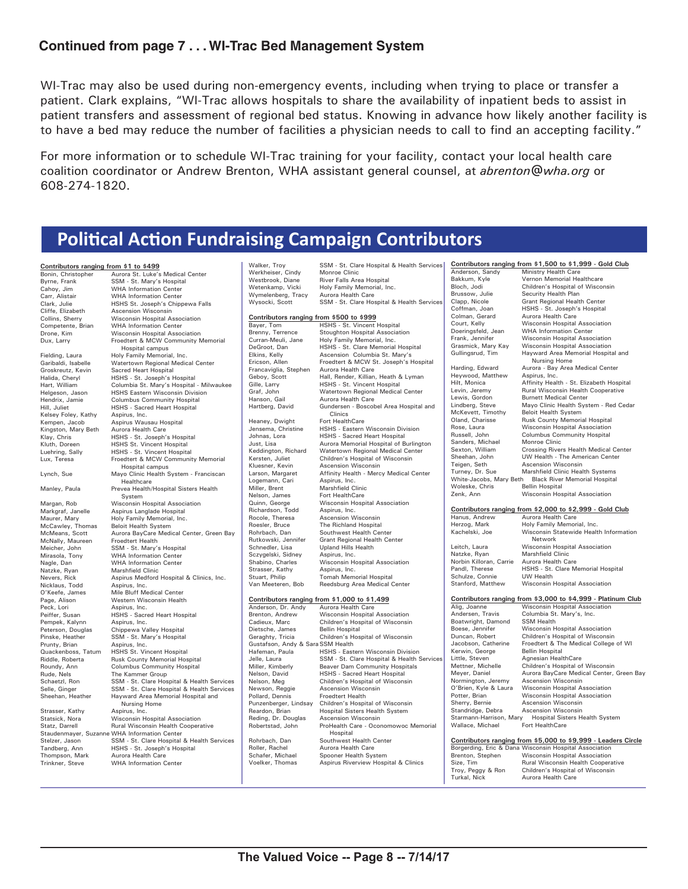#### **Continued from page 7 . . . WI-Trac Bed Management System**

WI-Trac may also be used during non-emergency events, including when trying to place or transfer a patient. Clark explains, "WI-Trac allows hospitals to share the availability of inpatient beds to assist in patient transfers and assessment of regional bed status. Knowing in advance how likely another facility is to have a bed may reduce the number of facilities a physician needs to call to find an accepting facility."

For more information or to schedule WI-Trac training for your facility, contact your local health care coalition coordinator or Andrew Brenton, WHA assistant general counsel, at *abrenton@wha.org* or 608-274-1820.

# **Political Action Fundraising Campaign Contributors**

| Contributors ranging from \$1 to \$499 |                                              |
|----------------------------------------|----------------------------------------------|
|                                        |                                              |
| Bonin, Christopher                     | Aurora St. Luke's Medical Center             |
| Byrne, Frank                           | SSM - St. Mary's Hospital                    |
| Cahoy, Jim                             | <b>WHA Information Center</b>                |
| Carr, Alistair                         | <b>WHA Information Center</b>                |
| Clark, Julie                           | HSHS St. Joseph's Chippewa Falls             |
| Cliffe, Elizabeth                      | Ascension Wisconsin                          |
| Collins, Sherry                        | Wisconsin Hospital Association               |
| Competente, Brian                      | <b>WHA Information Center</b>                |
| Drone, Kim                             | Wisconsin Hospital Association               |
| Dux, Larry                             | Froedtert & MCW Community Mem                |
|                                        | Hospital campus                              |
| Fielding, Laura                        | Holy Family Memorial, Inc.                   |
| Garibaldi, Isabelle                    | Watertown Regional Medical Center            |
| Groskreutz, Kevin                      | Sacred Heart Hospital                        |
| Halida, Cheryl                         | HSHS - St. Joseph's Hospital                 |
| Hart, William                          | Columbia St. Mary's Hospital - Milw          |
| Helgeson, Jason                        | HSHS Eastern Wisconsin Division              |
| Hendrix, Jamie                         | <b>Columbus Community Hospital</b>           |
| Hill, Juliet                           | HSHS - Sacred Heart Hospital                 |
| Kelsey Foley, Kathy                    | Aspirus, Inc.                                |
| Kempen, Jacob                          | Aspirus Wausau Hospital                      |
| Kingston, Mary Beth                    | Aurora Health Care                           |
| Klay, Chris                            | HSHS - St. Joseph's Hospital                 |
| Kluth, Doreen                          | <b>HSHS St. Vincent Hospital</b>             |
| Luehring, Sally                        | HSHS - St. Vincent Hospital                  |
| Lux, Teresa                            | Froedtert & MCW Community Mem                |
|                                        | Hospital campus                              |
| Lynch, Sue                             | Mayo Clinic Health System - Francis          |
|                                        | Healthcare                                   |
| Manley, Paula                          | Prevea Health/Hospital Sisters Healt         |
|                                        | System                                       |
| Margan, Rob                            | Wisconsin Hospital Association               |
| Markgraf, Janelle                      | Aspirus Langlade Hospital                    |
| Maurer, Mary                           | Holy Family Memorial, Inc.                   |
| McCawley, Thomas                       | <b>Beloit Health System</b>                  |
| McMeans, Scott                         | Aurora BayCare Medical Center, Gre           |
| McNally, Maureen                       | <b>Froedtert Health</b>                      |
| Meicher, John                          | SSM - St. Mary's Hospital                    |
| Mirasola, Tony                         | <b>WHA Information Center</b>                |
| Nagle, Dan                             | <b>WHA Information Center</b>                |
| Natzke, Ryan                           | Marshfield Clinic                            |
| Nevers, Rick                           | Aspirus Medford Hospital & Clinics,          |
| Nicklaus, Todd                         | Aspirus, Inc.                                |
| O'Keefe, James                         | Mile Bluff Medical Center                    |
| Page, Alison                           | Western Wisconsin Health                     |
| Peck, Lori                             | Aspirus, Inc.                                |
| Peiffer, Susan                         | <b>HSHS - Sacred Heart Hospital</b>          |
| Pempek, Kalynn                         | Aspirus, Inc.                                |
| Peterson, Douglas                      | Chippewa Valley Hospital                     |
| Pinske, Heather                        | SSM - St. Mary's Hospital                    |
| Prunty, Brian                          | Aspirus, Inc.                                |
| Quackenboss, Tatum                     | HSHS St. Vincent Hospital                    |
| Riddle, Roberta                        | Rusk County Memorial Hospital                |
| Roundy, Ann                            | Columbus Community Hospital                  |
| Rude, Nels                             | The Kammer Group                             |
| Schaetzl, Ron                          | SSM - St. Clare Hospital & Health S          |
| Selle, Ginger                          | SSM - St. Clare Hospital & Health S          |
| Sheehan, Heather                       | Hayward Area Memorial Hospital an            |
|                                        | Nursing Home                                 |
| Strasser, Kathy                        | Aspirus, Inc.                                |
| Statsick, Nora                         | Wisconsin Hospital Association               |
| Statz, Darrell                         | Rural Wisconsin Health Cooperative           |
|                                        | Staudenmayer, Suzanne WHA Information Center |
| Stelzer Jason                          | SSM - St. Clare Hospital & Health S          |

ty Memorial ..<br>|l - Milwaukee ty Memoria Franciscan rs Health nter, Green Bay Clinics, Inc. Health Services Health Services spital and Health Services Tandberg, Ann HSHS - St. Joseph's Hospital<br>Thompson, Mark Aurora Health Care Thompson, Mark Aurora Health Care<br>Trinkner, Steve WHA Information C WHA Information Center

SSM - St. Clare Hospital & Health Services<br>Monroe Clinic Walker, Troy<br>Werkheiser, Cindy Westbrook, Diane River Falls Area Hospital Holy Family Memorial, Inc.<br>Aurora Health Care Wymelenberg, Tracy<br>Wysocki, Scott SSM - St. Clare Hospital & Health Services **Contributors ranging from \$500 to \$999** HSHS - St. Vincent Hospital Brenny, Terrence Stoughton Hospital Association<br>Curran-Meuli, Jane Holy Family Memorial, Inc. Curran-Meuli, Jane Holy Family Memorial, Inc. DeGroot, Dan HSHS - St. Clare Memorial Hospital Elkins, Kelly Ascension Columbia St. Mary's Francaviglia, Stephen<br>Geboy, Scott Enancaviglia, Stephen Aurora Health Care<br>Geboy, Scott Hall, Render, Killian, Heath & Lyman<br>Gille. Larry HSHS - St. Vincent Hospital Graf, John Watertown Regional Medical Center Aurora Health Care Clinics<br>Fort HealthCare Heaney, Dwight<br>Jensema, Christine Johnas, Lora **HSHS - Sacred Heart Hospital**<br>Just, Lisa **Aurora Memorial Hospital of B** Just, Lisa Aurora Memorial Hospital of Burlington Keddington, Richard Watertown Regional Medical Center Kluesner, Kevin Ascension Wisconsin<br>Larson, Margaret Affinity Health - Merc **Logemann, Cari Aspirus, Inc.**<br>
Miller Brent **Marshfield C** Miller, Brent Marshfield Clinic<br>Nelson, James Fort HealthCare Nelson, James<br>
Cuinn, George<br>
Cuinn, George<br>
Wisconsin Hosp Richardson, Todd Aspirus, Inc.<br>Rocole, Theresa Ascension W<br>Roesler, Bruce The Richland Rocole, Theresa Ascension Wisconsin Roesler, Bruce The Richland Hospital Rohrbach, Dan Southwest Health Center<br>Rutkowski, Jennifer Grant Regional Health Ce Rutkowski, Jennifer Grant Regional Health Center Upland Hills Health Sczygelski, Sidney Aspirus, Inc.<br>Shabino, Charles Wisconsin H Strasser, Kathy Aspirus, Inc.<br>Stuart, Philip Tomah Mem Stuart, Philip Tomah Memorial Hospital<br>Van Meeteren, Bob Reedsburg Area Medical ( **Contributors ranging from \$1,000 to \$1,499** Anderson, Dr. Andy Aurora Health Care Brenton, Andrew Wisconsin Hospital Association<br>Cadieux, Marc Children's Hospital of Wisconsi Dietsche, James<br>Geraghty, Tricia Gustafson, Andy & Sara SSM Health<br>Hafeman, Paula HSHS - East Hafeman, Paula HSHS - Eastern Wisconsin Division Nelson, David HSHS - Sacred Heart Hospital<br>Nelson, Meg Children's Hospital of Wiscons Nelson, Meg Children's Hospital of Wisconsin<br>Newson, Reggie Ascension Wisconsin Newson, Reggie Ascension Wisconsin<br>Pollard, Dennis Froedtert Health Pollard, Dennis<br>
Punzenberger, Lindsay<br>
Children's Hospi Punzenberger, Lindsay Children's Hospital of Wisconsin Reding, Dr. Douglas Ascension Wisconsin<br>Robertstad, John ProHealth Care - Oco

Froedtert & MCW St. Joseph's Hospital HSHS - St. Vincent Hospital Hartberg, David Gundersen - Boscobel Area Hospital and HSHS - Eastern Wisconsin Division Children's Hospital of Wisconsin Affinity Health - Mercy Medical Center Wisconsin Hospital Association Wisconsin Hospital Association Reedsburg Area Medical Center Children's Hospital of Wisconsin<br>Bellin Hospital Children's Hospital of Wisconsin Jelle, Laura SSM - St. Clare Hospital & Health Services Miller, Kimberly Beaver Dam Community Hospitals Hospital Sisters Health System ProHealth Care - Oconomowoc Memorial Hospital Rohrbach, Dan Southwest Health Center

Roller, Rachel **Aurora Health Care**<br> **Schafer, Michael** Spooner Health Sys Schafer, Michael Spooner Health System<br>Voelker, Thomas Aspirus Riverview Host Aspirus Riverview Hospital & Clinics **Contributors ranging from \$1,500 to \$1,999 - Gold Club**<br>Anderson, Sandy Ministry Health Care<br>Bakkum, Kyle Vernon Memorial Healthcare Anderson, Sandy Ministry Health Care Bakkum, Kyle Vernon Memorial Healthcare Bloch, Jodi Children's Hospital of Wisconsin Brussow, Julie Security Health Plan<br>Clapp, Nicole Grant Regional Healt Grant Regional Health Center Coffman, Joan HSHS - St. Joseph's Hospital Aurora Health Care Court, Kelly Wisconsin Hospital Association<br>Doeringsfeld, Jean WHA Information Center WHA Information Center Frank, Jennifer Misconsin Hospital Association<br>Grasmick, Mary Kay Wisconsin Hospital Association Grasmick, Mary Kay Wisconsin Hospital Association Gullingsrud, Tim Hayward Area Memorial Hospital and Nursing Home Harding, Edward Aurora - Bay Area Medical Center<br>Heywood, Matthew Aspirus, Inc. Heywood, Matthew Hilt, Monica **Affinity Health - St. Elizabeth Hospital**<br>Levin, Jeremy **Rural Wisconsin Health Cooperative** Filit, Indiana Particulary, Theories Cooperative<br>Levin, Jeremy Bural Wisconsin Health Cooperative<br>Lewis, Gordon Burnett Medical Center Lewis, Gordon Burnett Medical Center<br>
Lindberg, Steve Mayo Clinic Health Sys Lindberg, Steve Mayo Clinic Health System - Red Cedar McKevett, Timothy Beloit Health System Rusk County Memorial Hospital Rose, Laura Wisconsin Hospital Association **Columbus Community Hospital**<br>Monroe Clinic Sanders, Michael<br>Sexton, William Crossing Rivers Health Medical Center Sheehan, John UW Health - The American Center Ascension Wisconsin Turney, Dr. Sue Marshfield Clinic Health Systems White-Jacobs, Mary Beth Black River Memorial Hospital Woleske, Chris Bellin Hospital<br>Zenk, Ann Misconsin Hos Wisconsin Hospital Association **Contributors ranging from \$2,000 to \$2,999 - Gold Club** Hanus, Andrew Aurora Health Care<br>Herzog, Mark Holy Family Memor Herzog, Mark Holy Family Memorial, Inc. Wisconsin Statewide Health Information Network Leitch, Laura Wisconsin Hospital Association Marshfield Clinic<br>Aurora Health Care Norbin Killoran, Carrie Aurora<br>Pandl, Therese HSHS Pandle, Therese Hospital<br>- St. Clare Memorial Hospital Schulze, Connie UW Health<br>Stanford, Matthew Wisconsin Wisconsin Hospital Association **Contributors ranging from \$3,000 to \$4,999 - Platinum Club Wisconsin Hospital Association** Andersen, Travis Columbia St. Mary's, Inc.<br>Boatwright, Damond SSM Health Boatwright, Damond Boese, Jennifer Wisconsin Hospital Association Duncan, Robert Children's Hospital of Wisconsin<br>Jacobson, Catherine Froedtert & The Medical College Froedtert & The Medical College of WI<br>Bellin Hospital Kerwin, George<br>Little, Steven Little, Steven Agnesian HealthCare<br>
Mettner, Michelle Children's Hospital o<br>
Meyer, Daniel Aurora BayCare Med Mettner, Michelle Children's Hospital of Wisconsin Meyer, Daniel Aurora BayCare Medical Center, Green Bay Normington, Jeremy Ascension Wisconsin O'Brien, Kyle & Laura Wisconsin Hospital Association Wisconsin Hospital Association Sherry, Bernie **Ascension Wisconsin**<br>Standridge Debra Ascension Wisconsin Standridge, Debra<br>Starmann-Harrison, Mary y Hospital Sisters Health System<br>Fort HealthCare Wallace, Michael **Contributors ranging from \$5,000 to \$9,999 - Leaders Circle**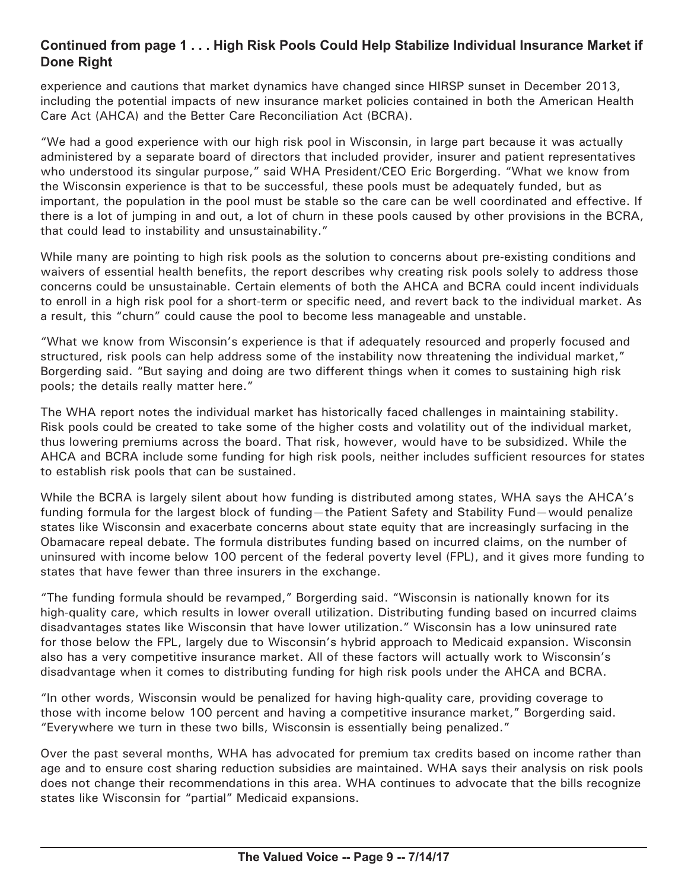### **Continued from page 1 . . . High Risk Pools Could Help Stabilize Individual Insurance Market if Done Right**

experience and cautions that market dynamics have changed since HIRSP sunset in December 2013, including the potential impacts of new insurance market policies contained in both the American Health Care Act (AHCA) and the Better Care Reconciliation Act (BCRA).

"We had a good experience with our high risk pool in Wisconsin, in large part because it was actually administered by a separate board of directors that included provider, insurer and patient representatives who understood its singular purpose," said WHA President/CEO Eric Borgerding. "What we know from the Wisconsin experience is that to be successful, these pools must be adequately funded, but as important, the population in the pool must be stable so the care can be well coordinated and effective. If there is a lot of jumping in and out, a lot of churn in these pools caused by other provisions in the BCRA, that could lead to instability and unsustainability."

While many are pointing to high risk pools as the solution to concerns about pre-existing conditions and waivers of essential health benefits, the report describes why creating risk pools solely to address those concerns could be unsustainable. Certain elements of both the AHCA and BCRA could incent individuals to enroll in a high risk pool for a short-term or specific need, and revert back to the individual market. As a result, this "churn" could cause the pool to become less manageable and unstable.

"What we know from Wisconsin's experience is that if adequately resourced and properly focused and structured, risk pools can help address some of the instability now threatening the individual market," Borgerding said. "But saying and doing are two different things when it comes to sustaining high risk pools; the details really matter here."

The WHA report notes the individual market has historically faced challenges in maintaining stability. Risk pools could be created to take some of the higher costs and volatility out of the individual market, thus lowering premiums across the board. That risk, however, would have to be subsidized. While the AHCA and BCRA include some funding for high risk pools, neither includes sufficient resources for states to establish risk pools that can be sustained.

While the BCRA is largely silent about how funding is distributed among states, WHA says the AHCA's funding formula for the largest block of funding—the Patient Safety and Stability Fund—would penalize states like Wisconsin and exacerbate concerns about state equity that are increasingly surfacing in the Obamacare repeal debate. The formula distributes funding based on incurred claims, on the number of uninsured with income below 100 percent of the federal poverty level (FPL), and it gives more funding to states that have fewer than three insurers in the exchange.

"The funding formula should be revamped," Borgerding said. "Wisconsin is nationally known for its high-quality care, which results in lower overall utilization. Distributing funding based on incurred claims disadvantages states like Wisconsin that have lower utilization." Wisconsin has a low uninsured rate for those below the FPL, largely due to Wisconsin's hybrid approach to Medicaid expansion. Wisconsin also has a very competitive insurance market. All of these factors will actually work to Wisconsin's disadvantage when it comes to distributing funding for high risk pools under the AHCA and BCRA.

"In other words, Wisconsin would be penalized for having high-quality care, providing coverage to those with income below 100 percent and having a competitive insurance market," Borgerding said. "Everywhere we turn in these two bills, Wisconsin is essentially being penalized."

Over the past several months, WHA has advocated for premium tax credits based on income rather than age and to ensure cost sharing reduction subsidies are maintained. WHA says their analysis on risk pools does not change their recommendations in this area. WHA continues to advocate that the bills recognize states like Wisconsin for "partial" Medicaid expansions.